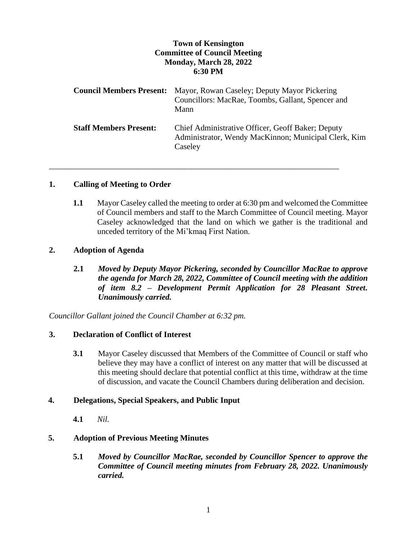# **Town of Kensington Committee of Council Meeting Monday, March 28, 2022 6:30 PM**

|                               | <b>Council Members Present:</b> Mayor, Rowan Caseley; Deputy Mayor Pickering<br>Councillors: MacRae, Toombs, Gallant, Spencer and<br>Mann |
|-------------------------------|-------------------------------------------------------------------------------------------------------------------------------------------|
| <b>Staff Members Present:</b> | Chief Administrative Officer, Geoff Baker; Deputy<br>Administrator, Wendy MacKinnon; Municipal Clerk, Kim<br>Caseley                      |

\_\_\_\_\_\_\_\_\_\_\_\_\_\_\_\_\_\_\_\_\_\_\_\_\_\_\_\_\_\_\_\_\_\_\_\_\_\_\_\_\_\_\_\_\_\_\_\_\_\_\_\_\_\_\_\_\_\_\_\_\_\_\_\_\_\_\_\_\_\_\_

# **1. Calling of Meeting to Order**

**1.1** Mayor Caseley called the meeting to order at 6:30 pm and welcomed the Committee of Council members and staff to the March Committee of Council meeting. Mayor Caseley acknowledged that the land on which we gather is the traditional and unceded territory of the Mi'kmaq First Nation.

# **2. Adoption of Agenda**

**2.1** *Moved by Deputy Mayor Pickering, seconded by Councillor MacRae to approve the agenda for March 28, 2022, Committee of Council meeting with the addition of item 8.2 – Development Permit Application for 28 Pleasant Street. Unanimously carried.*

*Councillor Gallant joined the Council Chamber at 6:32 pm.*

# **3. Declaration of Conflict of Interest**

**3.1** Mayor Caseley discussed that Members of the Committee of Council or staff who believe they may have a conflict of interest on any matter that will be discussed at this meeting should declare that potential conflict at this time, withdraw at the time of discussion, and vacate the Council Chambers during deliberation and decision.

# **4. Delegations, Special Speakers, and Public Input**

**4.1** *Nil.*

# **5. Adoption of Previous Meeting Minutes**

**5.1** *Moved by Councillor MacRae, seconded by Councillor Spencer to approve the Committee of Council meeting minutes from February 28, 2022. Unanimously carried.*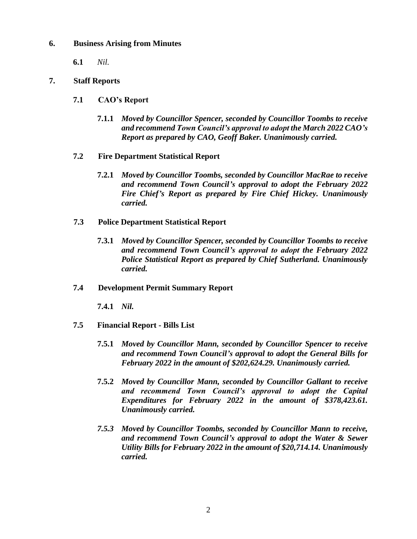## **6. Business Arising from Minutes**

**6.1** *Nil.*

## **7. Staff Reports**

- **7.1 CAO's Report**
	- **7.1.1** *Moved by Councillor Spencer, seconded by Councillor Toombs to receive and recommend Town Council's approval to adopt the March 2022 CAO's Report as prepared by CAO, Geoff Baker. Unanimously carried.*
- **7.2 Fire Department Statistical Report**
	- **7.2.1** *Moved by Councillor Toombs, seconded by Councillor MacRae to receive and recommend Town Council's approval to adopt the February 2022 Fire Chief's Report as prepared by Fire Chief Hickey. Unanimously carried.*
- **7.3 Police Department Statistical Report**
	- **7.3.1** *Moved by Councillor Spencer, seconded by Councillor Toombs to receive and recommend Town Council's approval to adopt the February 2022 Police Statistical Report as prepared by Chief Sutherland. Unanimously carried.*

#### **7.4 Development Permit Summary Report**

**7.4.1** *Nil.*

- **7.5 Financial Report - Bills List**
	- **7.5.1** *Moved by Councillor Mann, seconded by Councillor Spencer to receive and recommend Town Council's approval to adopt the General Bills for February 2022 in the amount of \$202,624.29. Unanimously carried.*
	- **7.5.2** *Moved by Councillor Mann, seconded by Councillor Gallant to receive and recommend Town Council's approval to adopt the Capital Expenditures for February 2022 in the amount of \$378,423.61. Unanimously carried.*
	- *7.5.3 Moved by Councillor Toombs, seconded by Councillor Mann to receive, and recommend Town Council's approval to adopt the Water & Sewer Utility Bills for February 2022 in the amount of \$20,714.14. Unanimously carried.*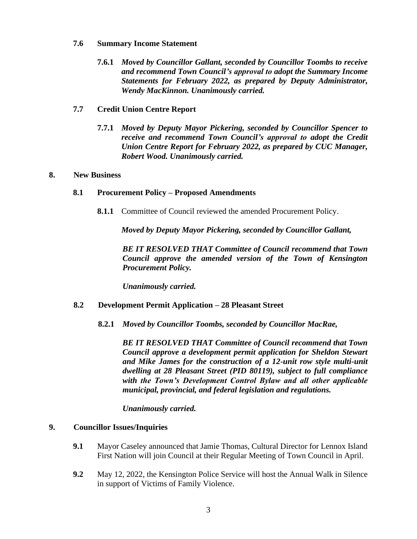#### **7.6 Summary Income Statement**

**7.6.1** *Moved by Councillor Gallant, seconded by Councillor Toombs to receive and recommend Town Council's approval to adopt the Summary Income Statements for February 2022, as prepared by Deputy Administrator, Wendy MacKinnon. Unanimously carried.*

## **7.7 Credit Union Centre Report**

**7.7.1** *Moved by Deputy Mayor Pickering, seconded by Councillor Spencer to receive and recommend Town Council's approval to adopt the Credit Union Centre Report for February 2022, as prepared by CUC Manager, Robert Wood. Unanimously carried.*

#### **8. New Business**

#### **8.1 Procurement Policy – Proposed Amendments**

**8.1.1** Committee of Council reviewed the amended Procurement Policy.

*Moved by Deputy Mayor Pickering, seconded by Councillor Gallant,* 

*BE IT RESOLVED THAT Committee of Council recommend that Town Council approve the amended version of the Town of Kensington Procurement Policy.* 

*Unanimously carried.* 

## **8.2 Development Permit Application – 28 Pleasant Street**

**8.2.1** *Moved by Councillor Toombs, seconded by Councillor MacRae,*

*BE IT RESOLVED THAT Committee of Council recommend that Town Council approve a development permit application for Sheldon Stewart and Mike James for the construction of a 12-unit row style multi-unit dwelling at 28 Pleasant Street (PID 80119), subject to full compliance with the Town's Development Control Bylaw and all other applicable municipal, provincial, and federal legislation and regulations.*

## *Unanimously carried.*

#### **9. Councillor Issues/Inquiries**

- **9.1** Mayor Caseley announced that Jamie Thomas, Cultural Director for Lennox Island First Nation will join Council at their Regular Meeting of Town Council in April.
- **9.2** May 12, 2022, the Kensington Police Service will host the Annual Walk in Silence in support of Victims of Family Violence.